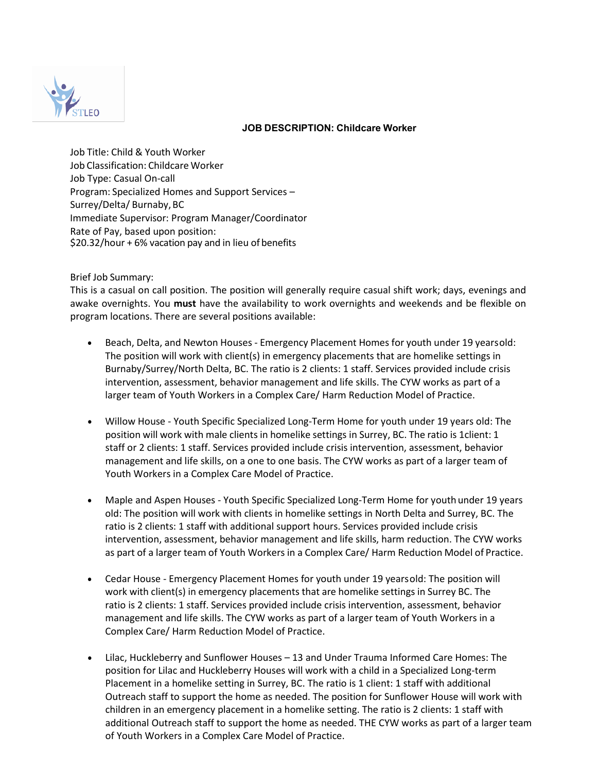

# **JOB DESCRIPTION: Childcare Worker**

Job Title: Child & Youth Worker Job Classification: Childcare Worker Job Type: Casual On-call Program: Specialized Homes and Support Services – Surrey/Delta/ Burnaby,BC Immediate Supervisor: Program Manager/Coordinator Rate of Pay, based upon position: \$20.32/hour + 6% vacation pay and in lieu of benefits

## Brief Job Summary:

This is a casual on call position. The position will generally require casual shift work; days, evenings and awake overnights. You **must** have the availability to work overnights and weekends and be flexible on program locations. There are several positions available:

- Beach, Delta, and Newton Houses Emergency Placement Homes for youth under 19 yearsold: The position will work with client(s) in emergency placements that are homelike settings in Burnaby/Surrey/North Delta, BC. The ratio is 2 clients: 1 staff. Services provided include crisis intervention, assessment, behavior management and life skills. The CYW works as part of a larger team of Youth Workers in a Complex Care/ Harm Reduction Model of Practice.
- Willow House Youth Specific Specialized Long-Term Home for youth under 19 years old: The position will work with male clients in homelike settings in Surrey, BC. The ratio is 1client: 1 staff or 2 clients: 1 staff. Services provided include crisis intervention, assessment, behavior management and life skills, on a one to one basis. The CYW works as part of a larger team of Youth Workers in a Complex Care Model of Practice.
- Maple and Aspen Houses Youth Specific Specialized Long-Term Home for youth under 19 years old: The position will work with clients in homelike settings in North Delta and Surrey, BC. The ratio is 2 clients: 1 staff with additional support hours. Services provided include crisis intervention, assessment, behavior management and life skills, harm reduction. The CYW works as part of a larger team of Youth Workers in a Complex Care/ Harm Reduction Model of Practice.
- Cedar House Emergency Placement Homes for youth under 19 yearsold: The position will work with client(s) in emergency placements that are homelike settings in Surrey BC. The ratio is 2 clients: 1 staff. Services provided include crisis intervention, assessment, behavior management and life skills. The CYW works as part of a larger team of Youth Workers in a Complex Care/ Harm Reduction Model of Practice.
- Lilac, Huckleberry and Sunflower Houses 13 and Under Trauma Informed Care Homes: The position for Lilac and Huckleberry Houses will work with a child in a Specialized Long-term Placement in a homelike setting in Surrey, BC. The ratio is 1 client: 1 staff with additional Outreach staff to support the home as needed. The position for Sunflower House will work with children in an emergency placement in a homelike setting. The ratio is 2 clients: 1 staff with additional Outreach staff to support the home as needed. THE CYW works as part of a larger team of Youth Workers in a Complex Care Model of Practice.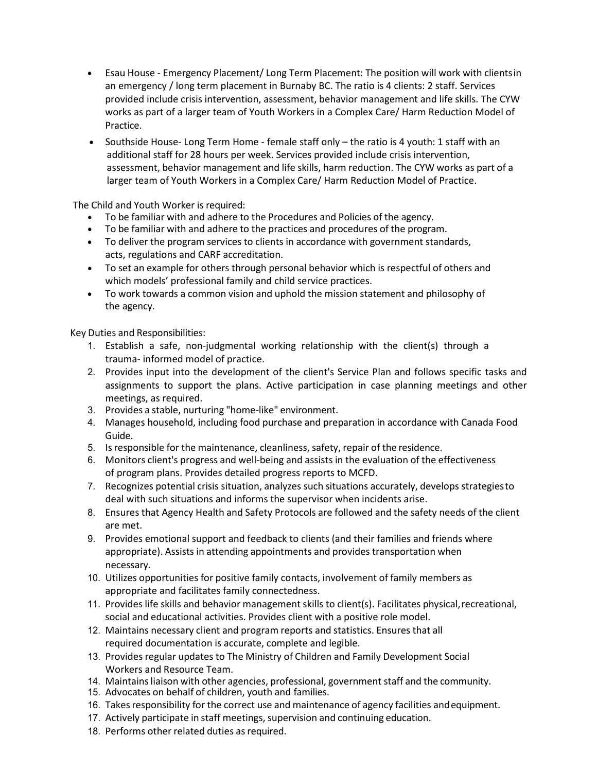- Esau House Emergency Placement/ Long Term Placement: The position will work with clientsin an emergency / long term placement in Burnaby BC. The ratio is 4 clients: 2 staff. Services provided include crisis intervention, assessment, behavior management and life skills. The CYW works as part of a larger team of Youth Workers in a Complex Care/ Harm Reduction Model of Practice.
- Southside House- Long Term Home female staff only the ratio is 4 youth: 1 staff with an additional staff for 28 hours per week. Services provided include crisis intervention, assessment, behavior management and life skills, harm reduction. The CYW works as part of a larger team of Youth Workers in a Complex Care/ Harm Reduction Model of Practice.

The Child and Youth Worker is required:

- To be familiar with and adhere to the Procedures and Policies of the agency.
- To be familiar with and adhere to the practices and procedures of the program.
- To deliver the program services to clients in accordance with government standards, acts, regulations and CARF accreditation.
- To set an example for others through personal behavior which is respectful of others and which models' professional family and child service practices.
- To work towards a common vision and uphold the mission statement and philosophy of the agency.

Key Duties and Responsibilities:

- 1. Establish a safe, non-judgmental working relationship with the client(s) through a trauma- informed model of practice.
- 2. Provides input into the development of the client's Service Plan and follows specific tasks and assignments to support the plans. Active participation in case planning meetings and other meetings, as required.
- 3. Provides a stable, nurturing "home-like" environment.
- 4. Manages household, including food purchase and preparation in accordance with Canada Food Guide.
- 5. Isresponsible for the maintenance, cleanliness, safety, repair of the residence.
- 6. Monitors client's progress and well-being and assists in the evaluation of the effectiveness of program plans. Provides detailed progress reports to MCFD.
- 7. Recognizes potential crisis situation, analyzes such situations accurately, develops strategiesto deal with such situations and informs the supervisor when incidents arise.
- 8. Ensures that Agency Health and Safety Protocols are followed and the safety needs of the client are met.
- 9. Provides emotional support and feedback to clients (and their families and friends where appropriate). Assists in attending appointments and provides transportation when necessary.
- 10. Utilizes opportunities for positive family contacts, involvement of family members as appropriate and facilitates family connectedness.
- 11. Provides life skills and behavior management skills to client(s). Facilitates physical,recreational, social and educational activities. Provides client with a positive role model.
- 12. Maintains necessary client and program reports and statistics. Ensures that all required documentation is accurate, complete and legible.
- 13. Provides regular updates to The Ministry of Children and Family Development Social Workers and Resource Team.
- 14. Maintains liaison with other agencies, professional, government staff and the community.
- 15. Advocates on behalf of children, youth and families.
- 16. Takes responsibility for the correct use and maintenance of agency facilities and equipment.
- 17. Actively participate in staff meetings, supervision and continuing education.
- 18. Performs other related duties as required.